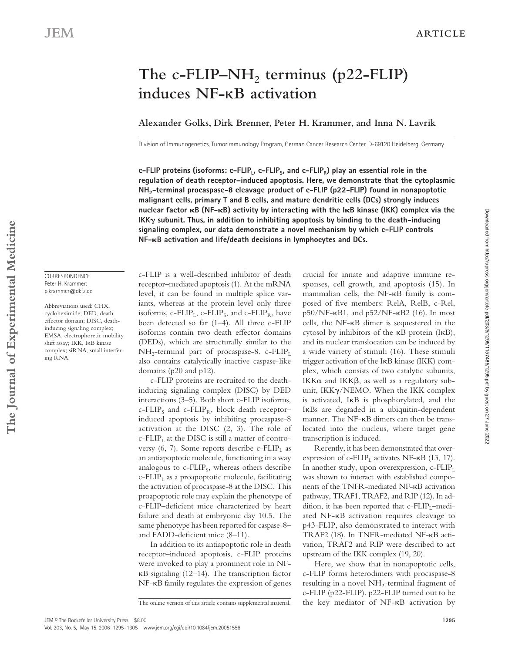# The c-FLIP–NH<sub>2</sub> terminus (p22-FLIP) **induces NF-**κ**B activation**

## **Alexander Golks, Dirk Brenner, Peter H. Krammer, and Inna N. Lavrik**

Division of Immunogenetics, Tumorimmunology Program, German Cancer Research Center, D-69120 Heidelberg, Germany

c-FLIP proteins (isoforms: c-FLIP<sub>L</sub>, c-FLIP<sub>s</sub>, and c-FLIP<sub>R</sub>) play an essential role in the **regulation of death receptor–induced apoptosis. Here, we demonstrate that the cytoplasmic NH2-terminal procaspase-8 cleavage product of c-FLIP (p22-FLIP) found in nonapoptotic malignant cells, primary T and B cells, and mature dendritic cells (DCs) strongly induces nuclear factor B (NF-B) activity by interacting with the IB kinase (IKK) complex via the IKK** $\gamma$  subunit. Thus, in addition to inhibiting apoptosis by binding to the death-inducing **signaling complex, our data demonstrate a novel mechanism by which c-FLIP controls NF-B activation and life/death decisions in lymphocytes and DCs.**

#### CORRESPONDENCE Peter H. Krammer: p.krammer@dkfz.de

Abbreviations used: CHX, cycloheximide; DED, death effector domain: DISC, deathinducing signaling complex; EMSA, electrophoretic mobility shift assay; IKK, IκB kinase complex; siRNA, small interfering RNA.

c-FLIP is a well-described inhibitor of death receptor–mediated apoptosis (1). At the mRNA level, it can be found in multiple splice variants, whereas at the protein level only three isoforms,  $c$ -FLIP<sub>L</sub>,  $c$ -FLIP<sub>S</sub>, and  $c$ -FLIP<sub>R</sub>, have been detected so far (1–4). All three c-FLIP isoforms contain two death effector domains (DEDs), which are structurally similar to the  $NH_2$ -terminal part of procaspase-8. c-FLIP<sub>L</sub> also contains catalytically inactive caspase-like domains (p20 and p12).

c-FLIP proteins are recruited to the deathinducing signaling complex (DISC) by DED interactions (3–5). Both short c-FLIP isoforms,  $c$ -FLIP<sub>S</sub> and  $c$ -FLIP<sub>R</sub>, block death receptorinduced apoptosis by inhibiting procaspase-8 activation at the DISC (2, 3). The role of  $c$ -FLIP<sub>L</sub> at the DISC is still a matter of controversy (6, 7). Some reports describe  $c$ -FLIP<sub>I</sub> as an antiapoptotic molecule, functioning in a way analogous to  $c$ -FLIP<sub>S</sub>, whereas others describe  $c$ -FLIP<sub>L</sub> as a proapoptotic molecule, facilitating the activation of procaspase-8 at the DISC. This proapoptotic role may explain the phenotype of c-FLIP-deficient mice characterized by heart failure and death at embryonic day 10.5. The same phenotype has been reported for caspase-8– and FADD-deficient mice (8-11).

In addition to its antiapoptotic role in death receptor–induced apoptosis, c-FLIP proteins were invoked to play a prominent role in NFκB signaling (12–14). The transcription factor NF-κB family regulates the expression of genes crucial for innate and adaptive immune responses, cell growth, and apoptosis (15). In mammalian cells, the NF-κB family is composed of five members: RelA, RelB, c-Rel, p50/NF-κB1, and p52/NF-κB2 (16). In most cells, the NF-κB dimer is sequestered in the cytosol by inhibitors of the κB protein (IκB), and its nuclear translocation can be induced by a wide variety of stimuli (16). These stimuli trigger activation of the IκB kinase (IKK) complex, which consists of two catalytic subunits, IKKα and IKKβ, as well as a regulatory subunit, IKKγ/NEMO. When the IKK complex is activated, IκB is phosphorylated, and the IκBs are degraded in a ubiquitin-dependent manner. The NF-κB dimers can then be translocated into the nucleus, where target gene transcription is induced.

Recently, it has been demonstrated that overexpression of c-FLIP<sub>L</sub> activates NF- $\kappa$ B (13, 17). In another study, upon overexpression,  $c$ -FLIP<sub>L</sub> was shown to interact with established components of the TNFR-mediated NF-κB activation pathway, TRAF1, TRAF2, and RIP (12). In addition, it has been reported that  $c$ -FLIP<sub>I</sub>–mediated NF-κB activation requires cleavage to p43-FLIP, also demonstrated to interact with TRAF2 (18). In TNFR-mediated NF-κB activation, TRAF2 and RIP were described to act upstream of the IKK complex (19, 20).

Here, we show that in nonapoptotic cells, c-FLIP forms heterodimers with procaspase-8 resulting in a novel  $NH<sub>2</sub>$ -terminal fragment of c-FLIP (p22-FLIP). p22-FLIP turned out to be the key mediator of NF-κB activation by

Downloaded from http://rupress.org/jem/article-pdf/203/5/1295/1157485/1295.pdf by guest on 27 June 2022

Downloaded from http://rupress.org/jem/article-pdf/203/5/1295/1157485/1295.pdf by guest on 27 June 2022

The online version of this article contains supplemental material.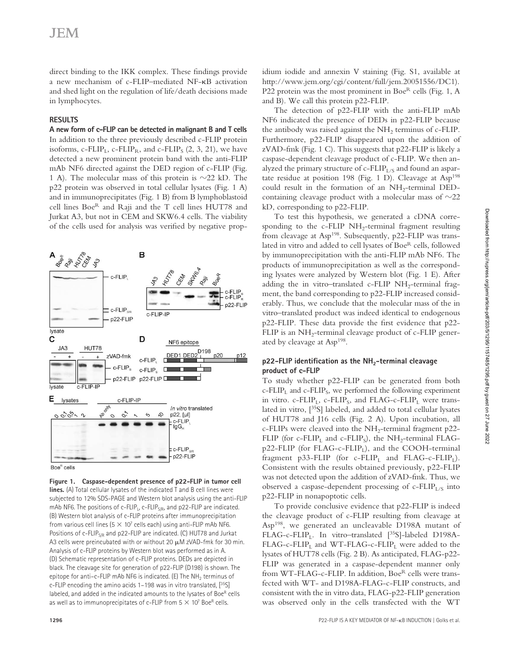# **JEM**

direct binding to the IKK complex. These findings provide a new mechanism of c-FLIP–mediated NF-κB activation and shed light on the regulation of life/death decisions made in lymphocytes.

#### **RESULTS**

**A new form of c-FLIP can be detected in malignant B and T cells** In addition to the three previously described c-FLIP protein isoforms, c-FLIP<sub>L</sub>, c-FLIP<sub>R</sub>, and c-FLIP<sub>S</sub> (2, 3, 21), we have detected a new prominent protein band with the anti-FLIP mAb NF6 directed against the DED region of c-FLIP (Fig. 1 A). The molecular mass of this protein is  $\sim$ 22 kD. The p22 protein was observed in total cellular lysates (Fig. 1 A) and in immunoprecipitates (Fig. 1 B) from B lymphoblastoid cell lines BoeR and Raji and the T cell lines HUT78 and Jurkat A3, but not in CEM and SKW6.4 cells. The viability of the cells used for analysis was verified by negative prop-





**Figure 1. Caspase-dependent presence of p22-FLIP in tumor cell lines.** (A) Total cellular lysates of the indicated T and B cell lines were subjected to 12% SDS-PAGE and Western blot analysis using the anti-FLIP mAb NF6. The positions of c-FLIP<sub>L</sub>, c-FLIP<sub>S/R</sub>, and p22-FLIP are indicated. (B) Western blot analysis of c-FLIP proteins after immunoprecipitation from various cell lines ( $5 \times 10^7$  cells each) using anti-FLIP mAb NF6. Positions of c-FLIP<sub>S/R</sub> and p22-FLIP are indicated. (C) HUT78 and Jurkat A3 cells were preincubated with or without 20 μM zVAD-fmk for 30 min. Analysis of c-FLIP proteins by Western blot was performed as in A. (D) Schematic representation of c-FLIP proteins. DEDs are depicted in black. The cleavage site for generation of p22-FLIP (D198) is shown. The epitope for anti-c-FLIP mAb NF6 is indicated. (E) The NH<sub>2</sub> terminus of c-FLIP encoding the amino acids 1–198 was in vitro translated, [35S] labeled, and added in the indicated amounts to the lysates of BoeR cells as well as to immunoprecipitates of c-FLIP from  $5 \times 10^7$  Boe<sup>R</sup> cells.

The detection of p22-FLIP with the anti-FLIP mAb NF6 indicated the presence of DEDs in p22-FLIP because the antibody was raised against the  $NH<sub>2</sub>$  terminus of c-FLIP. Furthermore, p22-FLIP disappeared upon the addition of zVAD-fmk (Fig. 1 C). This suggests that p22-FLIP is likely a caspase-dependent cleavage product of c-FLIP. We then analyzed the primary structure of  $c$ -FLIP<sub>L/S</sub> and found an aspartate residue at position 198 (Fig. 1 D). Cleavage at  $Asp<sup>198</sup>$ could result in the formation of an  $NH_2$ -terminal DEDcontaining cleavage product with a molecular mass of  $\sim$ 22 kD, corresponding to p22-FLIP.

To test this hypothesis, we generated a cDNA corresponding to the c-FLIP  $NH_2$ -terminal fragment resulting from cleavage at Asp<sup>198</sup>. Subsequently, p22-FLIP was translated in vitro and added to cell lysates of Boe<sup>R</sup> cells, followed by immunoprecipitation with the anti-FLIP mAb NF6. The products of immunoprecipitation as well as the corresponding lysates were analyzed by Western blot (Fig. 1 E). After adding the in vitro-translated c-FLIP  $NH<sub>2</sub>$ -terminal fragment, the band corresponding to p22-FLIP increased considerably. Thus, we conclude that the molecular mass of the in vitro–translated product was indeed identical to endogenous p22-FLIP. These data provide the first evidence that p22-FLIP is an  $NH<sub>2</sub>$ -terminal cleavage product of c-FLIP generated by cleavage at Asp<sup>198</sup>.

### p22-FLIP identification as the NH<sub>2</sub>-terminal cleavage **product of c-FLIP**

To study whether p22-FLIP can be generated from both  $c$ -FLIP<sub>L</sub> and  $c$ -FLIP<sub>S</sub>, we performed the following experiment in vitro. c-FLIP<sub>L</sub>, c-FLIP<sub>S</sub>, and FLAG-c-FLIP<sub>L</sub> were translated in vitro, [<sup>35</sup>S] labeled, and added to total cellular lysates of HUT78 and J16 cells (Fig. 2 A). Upon incubation, all c-FLIPs were cleaved into the  $NH_2$ -terminal fragment p22-FLIP (for c-FLIP<sub>L</sub> and c-FLIP<sub>S</sub>), the NH<sub>2</sub>-terminal FLAGp22-FLIP (for FLAG-c-FLIP<sub>L</sub>), and the COOH-terminal fragment p33-FLIP (for  $c$ -FLIP<sub>L</sub> and FLAG-c-FLIP<sub>L</sub>). Consistent with the results obtained previously, p22-FLIP was not detected upon the addition of zVAD-fmk. Thus, we observed a caspase-dependent processing of c-FLIP<sub>L/S</sub> into p22-FLIP in nonapoptotic cells.

To provide conclusive evidence that p22-FLIP is indeed the cleavage product of c-FLIP resulting from cleavage at Asp198, we generated an uncleavable D198A mutant of FLAG-c-FLIP<sub>L</sub>. In vitro–translated [<sup>35</sup>S]-labeled D198A-FLAG-c-FLIP<sub>L</sub> and WT-FLAG-c-FLIP<sub>L</sub> were added to the lysates of HUT78 cells (Fig. 2 B). As anticipated, FLAG-p22- FLIP was generated in a caspase-dependent manner only from WT-FLAG-c-FLIP. In addition, Boe<sup>R</sup> cells were transfected with WT- and D198A-FLAG-c-FLIP constructs, and consistent with the in vitro data, FLAG-p22-FLIP generation was observed only in the cells transfected with the WT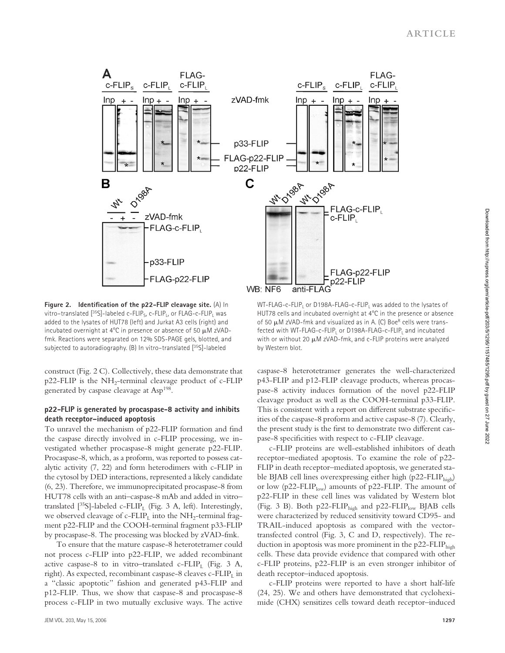

**Figure 2.** Identification of the p22-FLIP cleavage site. (A) In vitro–translated  $[^{35}S]$ -labeled c-FLIP<sub>S</sub>, c-FLIP<sub>L</sub>, or FLAG-c-FLIP<sub>L</sub> was added to the lysates of HUT78 (left) and Jurkat A3 cells (right) and incubated overnight at 4°C in presence or absence of 50 μM zVADfmk. Reactions were separated on 12% SDS-PAGE gels, blotted, and subjected to autoradiography. (B) In vitro–translated [35S]-labeled

construct (Fig. 2 C). Collectively, these data demonstrate that  $p22$ -FLIP is the NH<sub>2</sub>-terminal cleavage product of c-FLIP generated by caspase cleavage at Asp198.

#### **p22-FLIP is generated by procaspase-8 activity and inhibits death receptor–induced apoptosis**

To unravel the mechanism of p22-FLIP formation and find the caspase directly involved in c-FLIP processing, we investigated whether procaspase-8 might generate p22-FLIP. Procaspase-8, which, as a proform, was reported to possess catalytic activity (7, 22) and form heterodimers with c-FLIP in the cytosol by DED interactions, represented a likely candidate (6, 23). Therefore, we immunoprecipitated procaspase-8 from HUT78 cells with an anti–caspase-8 mAb and added in vitro– translated  $[^{35}S]$ -labeled c-FLIP<sub>L</sub> (Fig. 3 A, left). Interestingly, we observed cleavage of c-FLIP<sub>L</sub> into the NH<sub>2</sub>-terminal fragment p22-FLIP and the COOH-terminal fragment p33-FLIP by procaspase-8. The processing was blocked by zVAD-fmk.

To ensure that the mature caspase-8 heterotetramer could not process c-FLIP into p22-FLIP, we added recombinant active caspase-8 to in vitro–translated c-FLIP<sub>L</sub> (Fig. 3 A, right). As expected, recombinant caspase-8 cleaves  $c$ -FLIP<sub>L</sub> in a "classic apoptotic" fashion and generated p43-FLIP and p12-FLIP. Thus, we show that caspase-8 and procaspase-8 process c-FLIP in two mutually exclusive ways. The active

WT-FLAG-c-FLIP, or D198A-FLAG-c-FLIP, was added to the lysates of HUT78 cells and incubated overnight at 4°C in the presence or absence of 50  $\mu$ M zVAD-fmk and visualized as in A. (C) Boe $^R$  cells were transfected with WT-FLAG-c-FLIP<sub>1</sub> or D198A-FLAG-c-FLIP<sub>1</sub> and incubated with or without 20 μM zVAD-fmk, and c-FLIP proteins were analyzed by Western blot.

caspase-8 heterotetramer generates the well-characterized p43-FLIP and p12-FLIP cleavage products, whereas procaspase-8 activity induces formation of the novel p22-FLIP cleavage product as well as the COOH-terminal p33-FLIP. This is consistent with a report on different substrate specificities of the caspase-8 proform and active caspase-8 (7). Clearly, the present study is the first to demonstrate two different caspase-8 specificities with respect to c-FLIP cleavage.

c-FLIP proteins are well-established inhibitors of death receptor–mediated apoptosis. To examine the role of p22- FLIP in death receptor–mediated apoptosis, we generated stable BJAB cell lines overexpressing either high ( $p22-FLIP<sub>high</sub>$ ) or low ( $p22$ -FLIP<sub>low</sub>) amounts of  $p22$ -FLIP. The amount of p22-FLIP in these cell lines was validated by Western blot (Fig. 3 B). Both p22-FLIP<sub>high</sub> and p22-FLIP<sub>low</sub> BJAB cells were characterized by reduced sensitivity toward CD95- and TRAIL-induced apoptosis as compared with the vectortransfected control (Fig. 3, C and D, respectively). The reduction in apoptosis was more prominent in the  $p22-FLIP<sub>high</sub>$ cells. These data provide evidence that compared with other c-FLIP proteins, p22-FLIP is an even stronger inhibitor of death receptor–induced apoptosis.

c-FLIP proteins were reported to have a short half-life (24, 25). We and others have demonstrated that cycloheximide (CHX) sensitizes cells toward death receptor–induced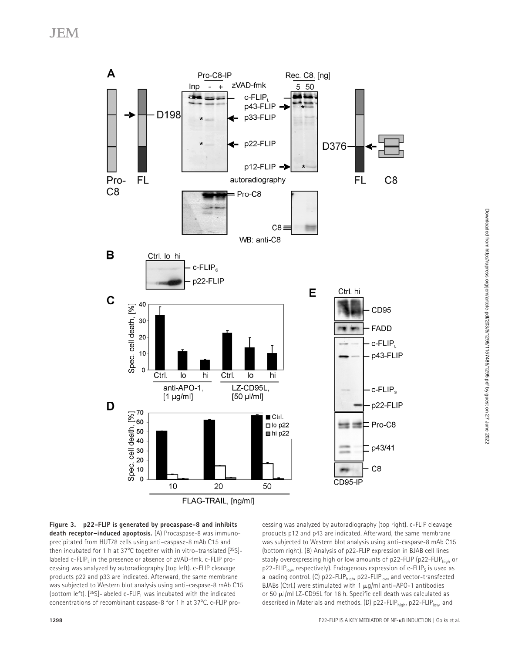**JEM** 





cessing was analyzed by autoradiography (top right). c-FLIP cleavage products p12 and p43 are indicated. Afterward, the same membrane was subjected to Western blot analysis using anti–caspase-8 mAb C15 (bottom right). (B) Analysis of p22-FLIP expression in BJAB cell lines stably overexpressing high or low amounts of p22-FLIP (p22-FLIP<sub>high</sub> or  $p22$ -FLIP<sub>low</sub>, respectively). Endogenous expression of c-FLIP<sub>s</sub> is used as a loading control. (C) p22-FLIP<sub>high</sub>, p22-FLIP<sub>low</sub>, and vector-transfected BJABs (Ctrl.) were stimulated with 1  $\mu$ g/ml anti-APO-1 antibodies or 50 μl/ml LZ-CD95L for 16 h. Specific cell death was calculated as described in Materials and methods. (D) p22-FLIP<sub>high</sub>, p22-FLIPlow, and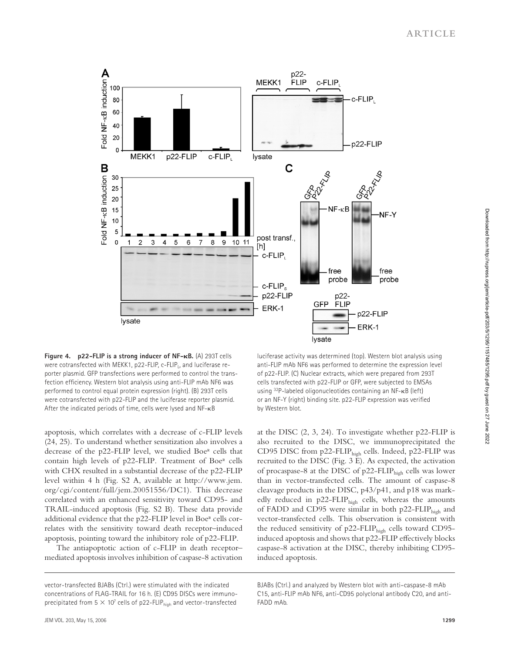

**Figure 4. p22-FLIP is a strong inducer of NF-B.** (A) 293T cells were cotransfected with MEKK1, p22-FLIP, c-FLIP, and luciferase reporter plasmid. GFP transfections were performed to control the transfection efficiency. Western blot analysis using anti-FLIP mAb NF6 was performed to control equal protein expression (right). (B) 293T cells were cotransfected with p22-FLIP and the luciferase reporter plasmid. After the indicated periods of time, cells were lysed and NF-κB

apoptosis, which correlates with a decrease of c-FLIP levels (24, 25). To understand whether sensitization also involves a decrease of the p22-FLIP level, we studied Boer cells that contain high levels of p22-FLIP. Treatment of Boer cells with CHX resulted in a substantial decrease of the p22-FLIP level within 4 h (Fig. S2 A, available at http://www.jem. org/cgi/content/full/jem.20051556/DC1). This decrease correlated with an enhanced sensitivity toward CD95- and TRAIL-induced apoptosis (Fig. S2 B). These data provide additional evidence that the p22-FLIP level in Boer cells correlates with the sensitivity toward death receptor–induced apoptosis, pointing toward the inhibitory role of p22-FLIP.

The antiapoptotic action of c-FLIP in death receptor– mediated apoptosis involves inhibition of caspase-8 activation

 luciferase activity was determined (top). Western blot analysis using anti-FLIP mAb NF6 was performed to determine the expression level of p22-FLIP. (C) Nuclear extracts, which were prepared from 293T cells transfected with p22-FLIP or GFP, were subjected to EMSAs using 32P-labeled oligonucleotides containing an NF-κB (left) or an NF-Y (right) binding site. p22-FLIP expression was verified by Western blot.

at the DISC (2, 3, 24). To investigate whether p22-FLIP is also recruited to the DISC, we immunoprecipitated the CD95 DISC from p22-FLIP<sub>high</sub> cells. Indeed, p22-FLIP was recruited to the DISC (Fig. 3 E). As expected, the activation of procaspase-8 at the DISC of p22-FLIP<sub>high</sub> cells was lower than in vector-transfected cells. The amount of caspase-8 cleavage products in the DISC, p43/p41, and p18 was markedly reduced in p22-FLIP<sub>high</sub> cells, whereas the amounts of FADD and CD95 were similar in both p22-FLIP<sub>high</sub> and vector-transfected cells. This observation is consistent with the reduced sensitivity of p22-FLIP<sub>high</sub> cells toward CD95induced apoptosis and shows that p22-FLIP effectively blocks caspase-8 activation at the DISC, thereby inhibiting CD95 induced apoptosis.

vector-transfected BJABs (Ctrl.) were stimulated with the indicated concentrations of FLAG-TRAIL for 16 h. (E) CD95 DISCs were immunoprecipitated from  $5 \times 10^7$  cells of p22-FLIP<sub>high</sub> and vector-transfected

BJABs (Ctrl.) and analyzed by Western blot with anti–caspase-8 mAb C15, anti-FLIP mAb NF6, anti-CD95 polyclonal antibody C20, and anti-FADD mAb.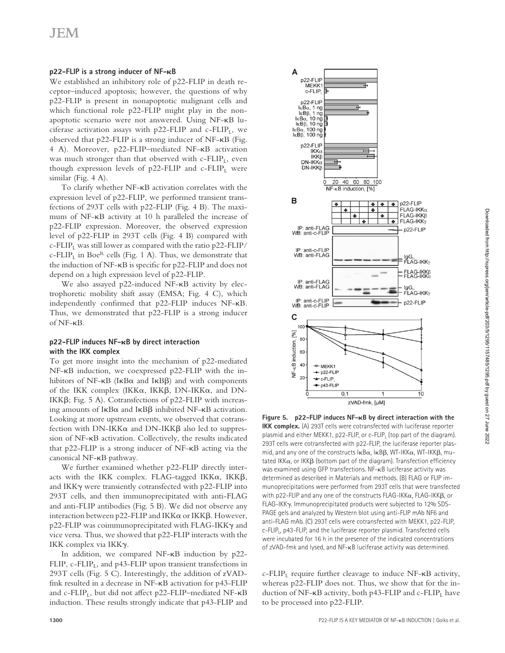#### **p22-FLIP** is a strong inducer of NF- $\kappa$ B

We established an inhibitory role of p22-FLIP in death receptor–induced apoptosis; however, the questions of why p22-FLIP is present in nonapoptotic malignant cells and which functional role p22-FLIP might play in the nonapoptotic scenario were not answered. Using NF-κB luciferase activation assays with  $p22$ -FLIP and c-FLIP<sub>L</sub>, we observed that p22-FLIP is a strong inducer of NF-κB (Fig. 4 A). Moreover, p22-FLIP–mediated NF-κB activation was much stronger than that observed with  $c$ -FLIP<sub>L</sub>, even though expression levels of  $p22$ -FLIP and c-FLIP<sub>L</sub> were similar (Fig. 4 A).

To clarify whether NF-κB activation correlates with the expression level of p22-FLIP, we performed transient transfections of 293T cells with p22-FLIP (Fig. 4 B). The maximum of NF-κB activity at 10 h paralleled the increase of p22-FLIP expression. Moreover, the observed expression level of p22-FLIP in 293T cells (Fig. 4 B) compared with c-FLIP<sub>L</sub> was still lower as compared with the ratio p22-FLIP/ c-FLIP<sub>L</sub> in Boe<sup>R</sup> cells (Fig. 1 A). Thus, we demonstrate that the induction of  $NF-\kappa B$  is specific for p22-FLIP and does not depend on a high expression level of p22-FLIP.

We also assayed p22-induced NF-κB activity by electrophoretic mobility shift assay (EMSA; Fig. 4 C), which independently confirmed that p22-FLIP induces NF-κB. Thus, we demonstrated that p22-FLIP is a strong inducer of NF-κB.

#### **p22-FLIP induces NF-B by direct interaction with the IKK complex**

To get more insight into the mechanism of p22-mediated NF-κB induction, we coexpressed p22-FLIP with the inhibitors of NF-κB (IκBα and IκBβ) and with components of the IKK complex (IKKα, IKKβ, DN-IKKα, and DN-IKKβ; Fig. 5 A). Cotransfections of  $p22$ -FLIP with increasing amounts of IκBα and IκBβ inhibited NF-κB activation. Looking at more upstream events, we observed that cotransfection with DN-IKKα and DN-IKKβ also led to suppression of NF-κB activation. Collectively, the results indicated that p22-FLIP is a strong inducer of NF-κB acting via the canonical NF-κB pathway.

We further examined whether p22-FLIP directly interacts with the IKK complex. FLAG-tagged IKK $\alpha$ , IKK $\beta$ , and IKKγ were transiently cotransfected with p22-FLIP into 293T cells, and then immunoprecipitated with anti-FLAG and anti-FLIP antibodies (Fig. 5 B). We did not observe any interaction between p22-FLIP and IKKα or IKKβ. However, p22-FLIP was coimmunoprecipitated with FLAG-IKKγ and vice versa. Thus, we showed that p22-FLIP interacts with the IKK complex via IKKγ.

In addition, we compared NF-κB induction by p22- FLIP, c-FLIP<sub>L</sub>, and p43-FLIP upon transient transfections in 293T cells (Fig. 5 C). Interestingly, the addition of zVADfmk resulted in a decrease in NF-κB activation for p43-FLIP and c-FLIP<sub>L</sub>, but did not affect p22-FLIP–mediated NF- $\kappa$ B induction. These results strongly indicate that p43-FLIP and



**Figure 5. p22-FLIP induces NF-B by direct interaction with the IKK complex.** (A) 293T cells were cotransfected with luciferase reporter plasmid and either MEKK1, p22-FLIP, or c-FLIP<sub>I</sub> (top part of the diagram). 293T cells were cotransfected with p22-FLIP, the luciferase reporter plasmid, and any one of the constructs IκBα, IκBβ, WT-IKKα, WT-IKKβ, mutated IKK $\alpha$ , or IKK $\beta$  (bottom part of the diagram). Transfection efficiency was examined using GFP transfections. NF-κB luciferase activity was determined as described in Materials and methods. (B) FLAG or FLIP immunoprecipitations were performed from 293T cells that were transfected with p22-FLIP and any one of the constructs FLAG-IKK $\alpha$ , FLAG-IKK $\beta$ , or FLAG-IKKγ. Immunoprecipitated products were subjected to 12% SDS-PAGE gels and analyzed by Western blot using anti-FLIP mAb NF6 and anti-FLAG mAb. (C) 293T cells were cotransfected with MEKK1, p22-FLIP, c-FLIP<sub>1</sub>, p43-FLIP, and the luciferase reporter plasmid. Transfected cells were incubated for 16 h in the presence of the indicated concentrations of zVAD-fmk and lysed, and NF-κB luciferase activity was determined.

c-FLIP<sub>L</sub> require further cleavage to induce  $NF$ - $\kappa$ B activity, whereas p22-FLIP does not. Thus, we show that for the induction of NF- $\kappa$ B activity, both p43-FLIP and c-FLIP<sub>L</sub> have to be processed into p22-FLIP.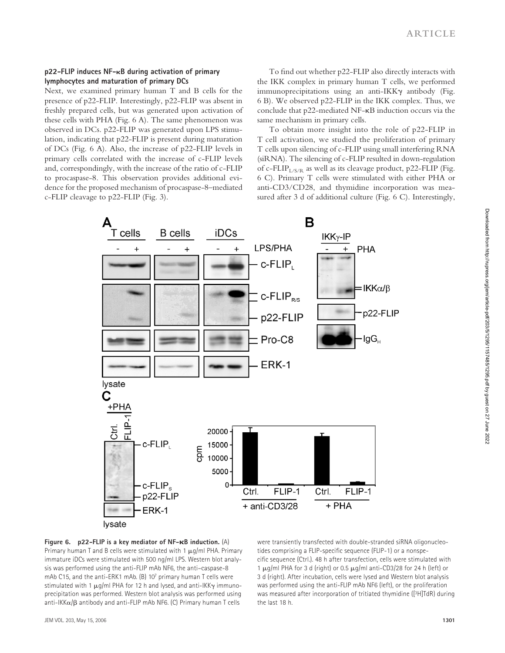#### **p22-FLIP induces NF-B during activation of primary lymphocytes and maturation of primary DCs**

Next, we examined primary human T and B cells for the presence of p22-FLIP. Interestingly, p22-FLIP was absent in freshly prepared cells, but was generated upon activation of these cells with PHA (Fig. 6 A). The same phenomenon was observed in DCs. p22-FLIP was generated upon LPS stimulation, indicating that p22-FLIP is present during maturation of DCs (Fig. 6 A). Also, the increase of p22-FLIP levels in primary cells correlated with the increase of c-FLIP levels and, correspondingly, with the increase of the ratio of c-FLIP to procaspase-8. This observation provides additional evidence for the proposed mechanism of procaspase-8–mediated c-FLIP cleavage to p22-FLIP (Fig. 3).

To find out whether p22-FLIP also directly interacts with the IKK complex in primary human T cells, we performed immunoprecipitations using an anti-IKKγ antibody (Fig. 6 B). We observed p22-FLIP in the IKK complex. Thus, we conclude that p22-mediated NF-κB induction occurs via the same mechanism in primary cells.

To obtain more insight into the role of p22-FLIP in T cell activation, we studied the proliferation of primary T cells upon silencing of c-FLIP using small interfering RNA (siRNA). The silencing of c-FLIP resulted in down-regulation of c-FLIP<sub>L/S/R</sub> as well as its cleavage product, p22-FLIP (Fig. 6 C). Primary T cells were stimulated with either PHA or anti-CD3/CD28, and thymidine incorporation was measured after 3 d of additional culture (Fig. 6 C). Interestingly,



**Figure 6. p22-FLIP is a key mediator of NF-B induction.** (A) Primary human T and B cells were stimulated with 1  $\mu q$ /ml PHA. Primary immature iDCs were stimulated with 500 ng/ml LPS. Western blot analysis was performed using the anti-FLIP mAb NF6, the anti–caspase-8 mAb C15, and the anti-ERK1 mAb. (B) 107 primary human T cells were stimulated with 1 μg/ml PHA for 12 h and lysed, and anti-IKKγ immunoprecipitation was performed. Western blot analysis was performed using anti-IKKα/β antibody and anti-FLIP mAb NF6. (C) Primary human T cells

were transiently transfected with double-stranded siRNA oligonucleotides comprising a FLIP-specific sequence (FLIP-1) or a nonspecific sequence (Ctrl.). 48 h after transfection, cells were stimulated with 1 μg/ml PHA for 3 d (right) or 0.5 μg/ml anti-CD3/28 for 24 h (left) or 3 d (right). After incubation, cells were lysed and Western blot analysis was performed using the anti-FLIP mAb NF6 (left), or the proliferation was measured after incorporation of tritiated thymidine ([3H]TdR) during the last 18 h.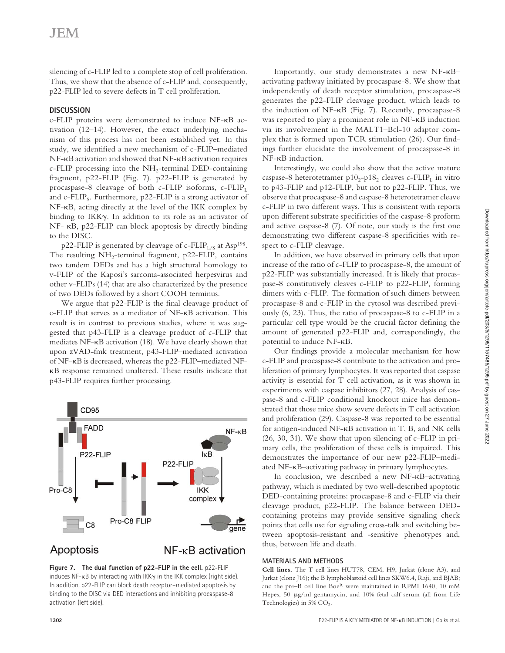silencing of c-FLIP led to a complete stop of cell proliferation. Thus, we show that the absence of c-FLIP and, consequently, p22-FLIP led to severe defects in T cell proliferation.

#### **DISCUSSION**

c-FLIP proteins were demonstrated to induce NF-κB activation (12–14). However, the exact underlying mechanism of this process has not been established yet. In this study, we identified a new mechanism of c-FLIP-mediated NF-κB activation and showed that NF-κB activation requires  $c$ -FLIP processing into the NH<sub>2</sub>-terminal DED-containing fragment, p22-FLIP (Fig. 7). p22-FLIP is generated by procaspase-8 cleavage of both c-FLIP isoforms, c-FLIP<sub>L</sub> and c-FLIP<sub>s</sub>. Furthermore,  $p22$ -FLIP is a strong activator of NF-κB, acting directly at the level of the IKK complex by binding to IKKγ. In addition to its role as an activator of NF- κB, p22-FLIP can block apoptosis by directly binding to the DISC.

p22-FLIP is generated by cleavage of c-FLIP<sub>L/S</sub> at Asp<sup>198</sup>. The resulting  $NH_2$ -terminal fragment, p22-FLIP, contains two tandem DEDs and has a high structural homology to v-FLIP of the Kaposi's sarcoma-associated herpesvirus and other v-FLIPs (14) that are also characterized by the presence of two DEDs followed by a short COOH terminus.

We argue that p22-FLIP is the final cleavage product of c-FLIP that serves as a mediator of NF-κB activation. This result is in contrast to previous studies, where it was suggested that p43-FLIP is a cleavage product of c-FLIP that mediates NF-κB activation (18). We have clearly shown that upon zVAD-fmk treatment, p43-FLIP–mediated activation of NF-κB is decreased, whereas the p22-FLIP–mediated NFκB response remained unaltered. These results indicate that p43-FLIP requires further processing.



# Apoptosis

 $NF$ - $\kappa$ B activation

Figure 7. The dual function of p22-FLIP in the cell. p22-FLIP induces NF-κB by interacting with IKKγ in the IKK complex (right side). In addition, p22-FLIP can block death receptor–mediated apoptosis by binding to the DISC via DED interactions and inhibiting procaspase-8 activation (left side).

Importantly, our study demonstrates a new NF-κB– activating pathway initiated by procaspase-8. We show that independently of death receptor stimulation, procaspase-8 generates the p22-FLIP cleavage product, which leads to the induction of NF-κB (Fig. 7). Recently, procaspase-8 was reported to play a prominent role in NF-κB induction via its involvement in the MALT1–Bcl-10 adaptor complex that is formed upon TCR stimulation  $(26)$ . Our findings further elucidate the involvement of procaspase-8 in NF-κB induction.

Interestingly, we could also show that the active mature caspase-8 heterotetramer  $p10_2-p18_2$  cleaves c-FLIP<sub>L</sub> in vitro to p43-FLIP and p12-FLIP, but not to p22-FLIP. Thus, we observe that procaspase-8 and caspase-8 heterotetramer cleave c-FLIP in two different ways. This is consistent with reports upon different substrate specificities of the caspase-8 proform and active caspase-8  $(7)$ . Of note, our study is the first one demonstrating two different caspase-8 specificities with respect to c-FLIP cleavage.

In addition, we have observed in primary cells that upon increase of the ratio of c-FLIP to procaspase-8, the amount of p22-FLIP was substantially increased. It is likely that procaspase-8 constitutively cleaves c-FLIP to p22-FLIP, forming dimers with c-FLIP. The formation of such dimers between procaspase-8 and c-FLIP in the cytosol was described previously (6, 23). Thus, the ratio of procaspase-8 to c-FLIP in a particular cell type would be the crucial factor defining the amount of generated p22-FLIP and, correspondingly, the potential to induce NF-κB.

Our findings provide a molecular mechanism for how c-FLIP and procaspase-8 contribute to the activation and proliferation of primary lymphocytes. It was reported that caspase activity is essential for T cell activation, as it was shown in experiments with caspase inhibitors (27, 28). Analysis of caspase-8 and c-FLIP conditional knockout mice has demonstrated that those mice show severe defects in T cell activation and proliferation (29). Caspase-8 was reported to be essential for antigen-induced NF-κB activation in T, B, and NK cells (26, 30, 31). We show that upon silencing of c-FLIP in primary cells, the proliferation of these cells is impaired. This demonstrates the importance of our new p22-FLIP–mediated NF-κB–activating pathway in primary lymphocytes.

In conclusion, we described a new NF-κB–activating pathway, which is mediated by two well-described apoptotic DED-containing proteins: procaspase-8 and c-FLIP via their cleavage product, p22-FLIP. The balance between DEDcontaining proteins may provide sensitive signaling check points that cells use for signaling cross-talk and switching between apoptosis-resistant and -sensitive phenotypes and, thus, between life and death.

#### **MATERIALS AND METHODS**

**Cell lines.** The T cell lines HUT78, CEM, H9, Jurkat (clone A3), and Jurkat (clone J16); the B lymphoblastoid cell lines SKW6.4, Raji, and BJAB; and the pre–B cell line BoeR were maintained in RPMI 1640, 10 mM Hepes, 50 μg/ml gentamycin, and 10% fetal calf serum (all from Life Technologies) in  $5\%$  CO<sub>2</sub>.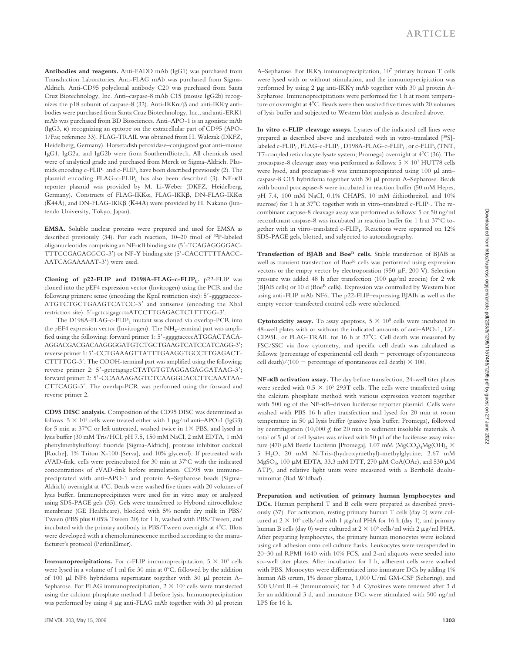**Antibodies and reagents.** Anti-FADD mAb (IgG1) was purchased from Transduction Laboratories. Anti-FLAG mAb was purchased from Sigma-Aldrich. Anti-CD95 polyclonal antibody C20 was purchased from Santa Cruz Biotechnology, Inc. Anti–caspase-8 mAb C15 (mouse IgG2b) recognizes the p18 subunit of caspase-8 (32). Anti-IKKα/β and anti-IKKγ antibodies were purchased from Santa Cruz Biotechnology, Inc., and anti-ERK1 mAb was purchased from BD Biosciences. Anti–APO-1 is an agonistic mAb (IgG3, κ) recognizing an epitope on the extracellular part of CD95 (APO-1/Fas; reference 33). FLAG-TRAIL was obtained from H. Walczak (DKFZ, Heidelberg, Germany). Horseradish peroxidase–conjugated goat anti–mouse IgG1, IgG2a, and IgG2b were from SouthernBiotech. All chemicals used were of analytical grade and purchased from Merck or Sigma-Aldrich. Plasmids encoding  $c$ -FLIP<sub>L</sub> and  $c$ -FLIP<sub>S</sub> have been described previously (2). The plasmid encoding  $FLAG-c-FLIP<sub>L</sub>$  has also been described (3).  $NF-\kappa B$ reporter plasmid was provided by M. Li-Weber (DKFZ, Heidelberg, Germany). Constructs of FLAG-IKKα, FLAG-IKKβ, DN-FLAG-IKKα (Κ44Α), and DN-FLAG-IKKβ (Κ44Α) were provided by H. Nakano (Juntendo University, Tokyo, Japan).

**EMSA.** Soluble nuclear proteins were prepared and used for EMSA as described previously (34). For each reaction, 10–20 fmol of 32P-labeled oligonucleotides comprising an NF-κB binding site (5'-TCAGAGGGGAC-TTTCCGAGAGGCG-3') or NF-Y binding site (5'-CACCTTTTAACC-AATCAGAAAAAT-3') were used.

**Cloning of p22-FLIP and D198A-FLAG-c-FLIP**<sub>L</sub>. p22-FLIP was cloned into the pEF4 expression vector (Invitrogen) using the PCR and the following primers: sense (encoding the KpnI restriction site): 5′-ggggtacccc-ATGTCTGCTGAAGTCATCC-3' and antisense (encoding the XbaI restriction site): 5'-gctctagagcctaATCCTTGAGACTCTTTTGG-3'.

The D198A-FLAG-c-FLIP<sub>L</sub> mutant was cloned via overlap-PCR into the pEF4 expression vector (Invitrogen). The  $NH<sub>2</sub>$ -terminal part was amplified using the following: forward primer 1: 5'-ggggtaccccATGGACTACA-AGGACGACAAAGGGGATGTCTGCTGAAGTCATCCATCAGG-3'; reverse primer 1: 5'-CCTGAAAGTTATTTGAAGGTGCCTTGAGACT-CTTTTGG-3'. The COOH-terminal part was amplified using the following: reverse primer 2: 5'-gctctagagcCTATGTGTAGGAGAGGATAAG-3'; forward primer 2: 5'-CCAAAAGAGTCTCAAGGCACCTTCAAATAA-CTTCAGG-3'. The overlap-PCR was performed using the forward and reverse primer 2.

**CD95 DISC analysis.** Composition of the CD95 DISC was determined as follows.  $5 \times 10^7$  cells were treated either with 1  $\mu$ g/ml anti–APO-1 (IgG3) for 5 min at  $37^{\circ}$ C or left untreated, washed twice in  $1\times$  PBS, and lysed in lysis buffer (30 mM Tris/HCl, pH 7.5, 150 mM NaCl, 2 mM EDTA, 1 mM phenylmethylsulfonyl fluoride [Sigma-Aldrich], protease inhibitor cocktail [Roche], 1% Triton X-100 [Serva], and 10% glycerol). If pretreated with zVAD-fmk, cells were preincubated for 30 min at 37°C with the indicated concentrations of zVAD-fmk before stimulation. CD95 was immunoprecipitated with anti–APO-1 and protein A–Sepharose beads (Sigma-Aldrich) overnight at 4°C. Beads were washed five times with 20 volumes of lysis buffer. Immunoprecipitates were used for in vitro assay or analyzed using SDS-PAGE gels (35). Gels were transferred to Hybond nitrocellulose membrane (GE Healthcare), blocked with 5% nonfat dry milk in PBS/ Tween (PBS plus 0.05% Tween 20) for 1 h, washed with PBS/Tween, and incubated with the primary antibody in PBS/Tween overnight at 4°C. Blots were developed with a chemoluminescence method according to the manufacturer's protocol (PerkinElmer).

**Immunoprecipitations.** For c-FLIP immunoprecipitation,  $5 \times 10^7$  cells were lysed in a volume of 1 ml for 30 min at 0°C, followed by the addition of 100 μl NF6 hybridoma supernatant together with 30 μl protein A– Sepharose. For FLAG immunoprecipitation,  $2 \times 10^6$  cells were transfected using the calcium phosphate method 1 d before lysis. Immunoprecipitation was performed by using 4 μg anti-FLAG mAb together with 30 μl protein

A–Sepharose. For IKKγ immunoprecipitation, 107 primary human T cells were lysed with or without stimulation, and the immunoprecipitation was performed by using 2 μg anti-IKKγ mAb together with 30 μl protein A– Sepharose. Immunoprecipitations were performed for 1 h at room temperature or overnight at 4°C. Beads were then washed five times with 20 volumes of lysis buffer and subjected to Western blot analysis as described above.

**In vitro c-FLIP cleavage assays.** Lysates of the indicated cell lines were prepared as described above and incubated with in vitro–translated [35S] labeled c-FLIP<sub>L</sub>, FLAG-c-FLIP<sub>L</sub>, D198A-FLAG-c-FLIP<sub>L</sub>, or c-FLIP<sub>S</sub> (TNT, T7-coupled reticulocyte lysate system; Promega) overnight at 4°C (36). The procaspase-8 cleavage assay was performed as follows:  $5 \times 10^7$  HUT78 cells were lysed, and procaspase-8 was immunoprecipitated using 100 μl anti– caspase-8 C15 hybridoma together with 30 μl protein A–Sepharose. Beads with bound procaspase-8 were incubated in reaction buffer (50 mM Hepes, pH 7.4, 100 mM NaCl, 0.1% CHAPS, 10 mM dithiothreitol, and 10% sucrose) for 1 h at  $37^{\circ}$ C together with in vitro–translated c-FLIP<sub>L</sub>. The recombinant caspase-8 cleavage assay was performed as follows: 5 or 50 ng/ml recombinant caspase-8 was incubated in reaction buffer for 1 h at 37°C together with in vitro–translated c-FLIP<sub>1</sub>. Reactions were separated on  $12\%$ SDS-PAGE gels, blotted, and subjected to autoradiography.

**Transfection of BJAB and BoeR cells.** Stable transfection of BJAB as well as transient transfection of BoeR cells was performed using expression vectors or the empty vector by electroporation (950 μF, 200 V). Selection pressure was added 48 h after transfection (100 μg/ml zeocin) for 2 wk (BJAB cells) or 10 d (Boe<sup>R</sup> cells). Expression was controlled by Western blot using anti-FLIP mAb NF6. The p22-FLIP–expressing BJABs as well as the empty vector–transfected control cells were subcloned.

**Cytotoxicity assay.** To assay apoptosis,  $5 \times 10^5$  cells were incubated in 48-well plates with or without the indicated amounts of anti–APO-1, LZ-CD95L, or FLAG-TRAIL for 16 h at 37°C. Cell death was measured by FSC/SSC via flow cytometry, and specific cell death was calculated as follows: (percentage of experimental cell death − percentage of spontaneous cell death)/(100  $-$  percentage of spontaneous cell death)  $\times$  100.

**NF-B activation assay.** The day before transfection, 24-well titer plates were seeded with  $0.5 \times 10^5$  293T cells. The cells were transfected using the calcium phosphate method with various expression vectors together with 500 ng of the NF-κB–driven luciferase reporter plasmid. Cells were washed with PBS 16 h after transfection and lysed for 20 min at room temperature in 50 μl lysis buffer (passive lysis buffer; Promega), followed by centrifugation  $(10,000 \text{ g})$  for 20 min to sediment insoluble materials. A total of 5 μl of cell lysates was mixed with 50 μl of the luciferase assay mixture (470 μM Beetle Luciferin [Promega], 1.07 mM (MgCO<sub>3</sub>)<sub>4</sub>Mg(OH)<sub>2</sub> × 5 H2O, 20 mM *N*-Tris-(hydroxymethyl)-methylglycine, 2.67 mM MgSO4, 100 μM EDTA, 33.3 mM DTT, 270 μM CoA(OAc), and 530 μM ATP), and relative light units were measured with a Berthold duoluminomat (Bad Wildbad).

**Preparation and activation of primary human lymphocytes and DCs.** Human peripheral T and B cells were prepared as described previously (37). For activation, resting primary human T cells (day 0) were cultured at  $2 \times 10^6$  cells/ml with 1  $\mu$ g/ml PHA for 16 h (day 1), and primary human B cells (day 0) were cultured at  $2 \times 10^6$  cells/ml with 2  $\mu$ g/ml PHA. After preparing lymphocytes, the primary human monocytes were isolated using cell adhesion onto cell culture flasks. Leukocytes were resuspended in 20–30 ml RPMI 1640 with 10% FCS, and 2-ml aliquots were seeded into six-well titer plates. After incubation for 1 h, adherent cells were washed with PBS. Monocytes were differentiated into immature DCs by adding 1% human AB serum, 1% donor plasma, 1,000 U/ml GM-CSF (Schering), and 500 U/ml IL-4 (Immunotools) for 3 d. Cytokines were renewed after 3 d for an additional 3 d, and immature DCs were stimulated with 500 ng/ml LPS for 16 h.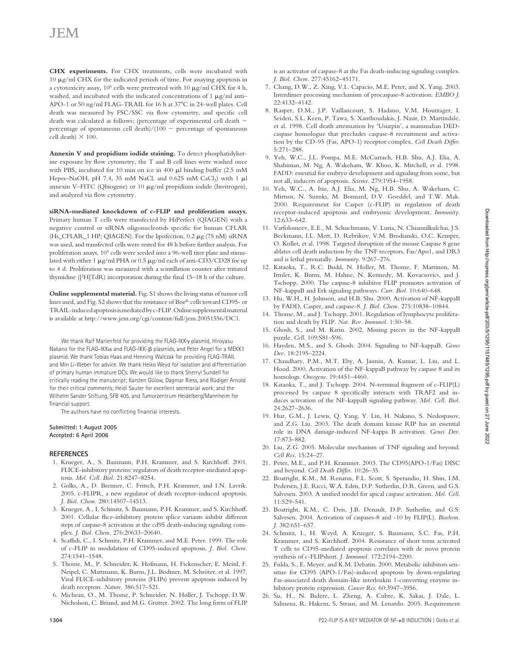**CHX experiments.** For CHX treatments, cells were incubated with 10 μg/ml CHX for the indicated periods of time. For assaying apoptosis in a cytotoxicity assay,  $10<sup>6</sup>$  cells were pretreated with  $10 \text{ µg/ml CHX}$  for 4 h, washed, and incubated with the indicated concentrations of 1 μg/ml anti– APO-1 or 50 ng/ml FLAG-TRAIL for 16 h at 37°C in 24-well plates. Cell death was measured by FSC/SSC via flow cytometry, and specific cell death was calculated as follows: (percentage of experimental cell death − percentage of spontaneous cell death)/(100 − percentage of spontaneous cell death)  $\times$  100.

**Annexin V and propidium iodide staining.** To detect phosphatidylserine exposure by flow cytometry, the T and B cell lines were washed once with PBS, incubated for 10 min on ice in 400 μl binding buffer (2.5 mM Hepes–NaOH, pH 7.4, 35 mM NaCl, and  $0.625$  mM CaCl<sub>2</sub>) with 1  $\mu$ l annexin V–FITC (Qbiogene) or 10 μg/ml propidium iodide (Invitrogen), and analyzed via flow cytometry.

**siRNA-mediated knockdown of c-FLIP and proliferation assays.** Primary human T cells were transfected by HiPerfect (QIAGEN) with a negative control or siRNA oligonucleotids specific for human CFLAR (Hs\_CFLAR\_1 HP; QIAGEN). For the lipofection, 0.2 μg (75 nM) siRNA was used, and transfected cells were rested for 48 h before further analysis. For proliferation assays,  $10^5$  cells were seeded into a 96-well titer plate and stimulated with either 1 μg/ml PHA or 0.5 μg/ml each of anti-CD3/CD28 for up to 4 d. Proliferation was measured with a scintillation counter after tritiated thymidine ( $[3H]TdR$ ) incorporation during the final 15–18 h of the culture.

**Online supplemental material.** Fig. S1 shows the living status of tumor cell lines used, and Fig. S2 shows that the resistance of Boe<sup>R</sup> cells toward CD95- or TRAIL-induced apoptosis is mediated by c-FLIP. Online supplemental material is available at http://www.jem.org/cgi/content/full/jem.20051556/DC1.

We thank Ralf Marienfeld for providing the FLAG-IKKγ plasmid, Hiroyasu Nakano for the FLAG-IKKα and FLAG-IKK-β plasmids, and Peter Angel for a MEKK1 plasmid. We thank Tobias Haas and Henning Walczak for providing FLAG-TRAIL and Min Li-Weber for advice. We thank Heiko Weyd for isolation and differentiation of primary human immature DCs. We would like to thank Sherryl Sundell for critically reading the manuscript; Karsten Gülow, Dagmar Riess, and Rüdiger Arnold for their critical comments; Heidi Sauter for excellent secretarial work; and the Wilhelm Sander Stiftung, SFB 405, and Tumorzentrum Heidelberg/Mannheim for financial support.

The authors have no conflicting financial interests.

#### **Submitted: 1 August 2005 Accepted: 6 April 2006**

#### **R E F E R E N C E S**

- 1. Krueger, A., S. Baumann, P.H. Krammer, and S. Kirchhoff. 2001. FLICE-inhibitory proteins: regulators of death receptor-mediated apoptosis. *Mol. Cell. Biol.* 21:8247–8254.
- 2. Golks, A., D. Brenner, C. Fritsch, P.H. Krammer, and I.N. Lavrik. 2005. c-FLIPR, a new regulator of death receptor-induced apoptosis. *J. Biol. Chem.* 280:14507–14513.
- 3. Krueger, A., I. Schmitz, S. Baumann, P.H. Krammer, and S. Kirchhoff . 2001. Cellular flice-inhibitory protein splice variants inhibit different steps of caspase-8 activation at the cd95 death-inducing signaling complex. *J. Biol. Chem.* 276:20633–20640.
- 4. Scaffidi, C., I. Schmitz, P.H. Krammer, and M.E. Peter. 1999. The role of c-FLIP in modulation of CD95-induced apoptosis. *J. Biol. Chem.* 274:1541–1548.
- 5. Thome, M., P. Schneider, K. Hofmann, H. Fickenscher, E. Meinl, F. Neipel, C. Mattmann, K. Burns, J.L. Bodmer, M. Schröter, et al. 1997. Viral FLICE-inhibitory proteins (FLIPs) prevent apoptosis induced by death receptors. *Nature*. 386:517–521.
- 6. Micheau, O., M. Thome, P. Schneider, N. Holler, J. Tschopp, D.W. Nicholson, C. Briand, and M.G. Grutter. 2002. The long form of FLIP

is an activator of caspase-8 at the Fas death-inducing signaling complex. *J. Biol. Chem.* 277:45162–45171.

- 7. Chang, D.W., Z. Xing, V.L. Capacio, M.E. Peter, and X. Yang. 2003. Interdimer processing mechanism of procaspase-8 activation. *EMBO J.* 22:4132–4142.
- 8. Rasper, D.M., J.P. Vaillancourt, S. Hadano, V.M. Houtzager, I. Seiden, S.L. Keen, P. Tawa, S. Xanthoudakis, J. Nasir, D. Martindale, et al. 1998. Cell death attenuation by 'Usurpin', a mammalian DEDcaspase homologue that precludes caspase-8 recruitment and activation by the CD-95 (Fas, APO-1) receptor complex. *Cell Death Differ.* 5:271–288.
- 9. Yeh, W.C., J.L. Pompa, M.E. McCurrach, H.B. Shu, A.J. Elia, A. Shahinian, M. Ng, A. Wakeham, W. Khoo, K. Mitchell, et al. 1998. FADD: essential for embryo development and signaling from some, but not all, inducers of apoptosis. *Science*. 279:1954–1958.
- 10. Yeh, W.C., A. Itie, A.J. Elia, M. Ng, H.B. Shu, A. Wakeham, C. Mirtsos, N. Suzuki, M. Bonnard, D.V. Goeddel, and T.W. Mak. 2000. Requirement for Casper (c-FLIP) in regulation of death receptor- induced apoptosis and embryonic development. *Immunity*. 12:633–642.
- 11. Varfolomeev, E.E., M. Schuchmann, V. Luria, N. Chiannilkulchai, J.S. Beckmann, I.L. Mett, D. Rebrikov, V.M. Brodianski, O.C. Kemper, O. Kollet, et al. 1998. Targeted disruption of the mouse Caspase 8 gene ablates cell death induction by the TNF receptors, Fas/Apo1, and DR3 and is lethal prenatally. *Immunity*. 9:267–276.
- 12. Kataoka, T., R.C. Budd, N. Holler, M. Thome, F. Martinon, M. Irmler, K. Burns, M. Hahne, N. Kennedy, M. Kovacsovics, and J. Tschopp. 2000. The caspase-8 inhibitor FLIP promotes activation of NF-kappaB and Erk signaling pathways. *Curr. Biol.* 10:640–648.
- 13. Hu, W.H., H. Johnson, and H.B. Shu. 2000. Activation of NF-kappaB by FADD, Casper, and caspase-8. *J. Biol. Chem.* 275:10838–10844.
- 14. Thome, M., and J. Tschopp. 2001. Regulation of lymphocyte proliferation and death by FLIP. *Nat. Rev. Immunol.* 1:50–58.
- 15. Ghosh, S., and M. Karin. 2002. Missing pieces in the NF-kappaB puzzle. *Cell*. 109:S81–S96.
- 16. Hayden, M.S., and S. Ghosh. 2004. Signaling to NF-kappaB. *Genes Dev.* 18:2195–2224.
- 17. Chaudhary, P.M., M.T. Eby, A. Jasmin, A. Kumar, L. Liu, and L. Hood. 2000. Activation of the NF-kappaB pathway by caspase 8 and its homologs. *Oncogene*. 19:4451–4460.
- 18. Kataoka, T., and J. Tschopp. 2004. N-terminal fragment of c-FLIP(L) processed by caspase 8 specifically interacts with TRAF2 and induces activation of the NF-kappaB signaling pathway. *Mol. Cell. Biol.* 24:2627–2636.
- 19. Hur, G.M., J. Lewis, Q. Yang, Y. Lin, H. Nakano, S. Nedospasov, and Z.G. Liu. 2003. The death domain kinase RIP has an essential role in DNA damage-induced NF-kappa B activation. *Genes Dev.* 17:873–882.
- 20. Liu, Z.G. 2005. Molecular mechanism of TNF signaling and beyond. *Cell Res.* 15:24–27.
- 21. Peter, M.E., and P.H. Krammer. 2003. The CD95(APO-1/Fas) DISC and beyond. *Cell Death Differ*. 10:26-35.
- 22. Boatright, K.M., M. Renatus, F.L. Scott, S. Sperandio, H. Shin, I.M. Pedersen, J.E. Ricci, W.A. Edris, D.P. Sutherlin, D.R. Green, and G.S. Salvesen. 2003. A unified model for apical caspase activation. *Mol. Cell.* 11:529–541.
- 23. Boatright, K.M., C. Deis, J.B. Denault, D.P. Sutherlin, and G.S. Salvesen. 2004. Activation of caspases-8 and -10 by FLIP(L). *Biochem. J.* 382:651–657.
- 24. Schmitz, I., H. Weyd, A. Krueger, S. Baumann, S.C. Fas, P.H. Krammer, and S. Kirchhoff. 2004. Resistance of short term activated T cells to CD95-mediated apoptosis correlates with de novo protein synthesis of c-FLIPshort. *J. Immunol.* 172:2194–2200.
- 25. Fulda, S., E. Meyer, and K.M. Debatin. 2000. Metabolic inhibitors sensitize for CD95 (APO-1/Fas)-induced apoptosis by down-regulating Fas-associated death domain-like interleukin 1-converting enzyme inhibitory protein expression. *Cancer Res.* 60:3947–3956.
- 26. Su, H., N. Bidere, L. Zheng, A. Cubre, K. Sakai, J. Dale, L. Salmena, R. Hakem, S. Straus, and M. Lenardo. 2005. Requirement